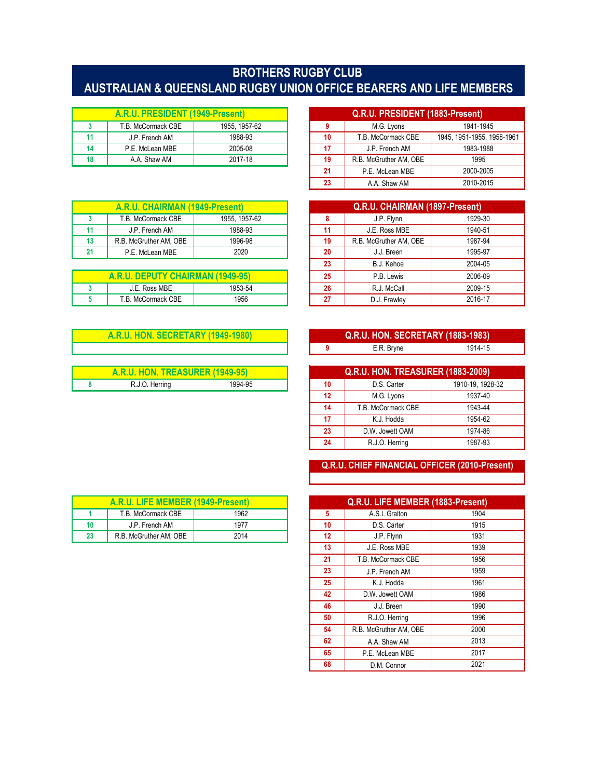## **BROTHERS RUGBY CLUB AUSTRALIAN & QUEENSLAND RUGBY UNION OFFICE BEARERS AND LIFE MEMBERS**

| A.R.U. PRESIDENT (1949-Present) |                    |               |    | Q.R.U. PRESIDENT (1883-Present) |                     |
|---------------------------------|--------------------|---------------|----|---------------------------------|---------------------|
|                                 | T.B. McCormack CBE | 1955. 1957-62 |    | M.G. Lyons                      | 1941-1945           |
|                                 | J.P. French AM     | 1988-93       | 10 | T.B. McCormack CBE              | 1945, 1951-1955, 19 |
|                                 | P.E. McLean MBE    | 2005-08       | 17 | J.P. French AM                  | 1983-1988           |
|                                 | A.A. Shaw AM       | 2017-18       | 19 | R.B. McGruther AM. OBE          | 1995                |

| A.R.U. CHAIRMAN (1949-Present) |                        |               |    | Q.R.U. CHAIRMAN (1897-Present) |         |
|--------------------------------|------------------------|---------------|----|--------------------------------|---------|
|                                | T.B. McCormack CBE     | 1955. 1957-62 |    | J.P. Flynn                     | 1929-30 |
|                                | J.P. French AM         | 1988-93       |    | J.E. Ross MBE                  | 1940-51 |
| 13                             | R.B. McGruther AM, OBE | 1996-98       | 19 | R.B. McGruther AM. OBE         | 1987-94 |
|                                | P.E. McLean MBE        | 2020          | 20 | J.J. Breen                     | 1995-97 |

| A.R.U. DEPUTY CHAIRMAN (1949-95). |                           | 95<br>w | P.B. Lewis | 2006-09      |         |
|-----------------------------------|---------------------------|---------|------------|--------------|---------|
|                                   | J.E. Ross MBE             | 1953-54 | 26         | R.J. McCall  | 2009-15 |
|                                   | <b>F.B. McCormack CBE</b> | 1956    | . .        | D.J. Frawley | 2016-17 |

| <b>A.R.U. HON. SECRETARY (1949-1980)</b> |                |         |                                          | <b>Q.R.U. HON. SECRETARY (1883-1983)</b> |                  |
|------------------------------------------|----------------|---------|------------------------------------------|------------------------------------------|------------------|
|                                          |                |         |                                          | E.R. Brvne                               | 1914-15          |
|                                          |                |         |                                          |                                          |                  |
| A.R.U. HON. TREASURER (1949-95)          |                |         | <b>Q.R.U. HON. TREASURER (1883-2009)</b> |                                          |                  |
|                                          | R.J.O. Herring | 1994-95 | 10                                       | D.S. Carter                              | 1910-19, 1928-32 |

| A.R.U. PRESIDENT (1949-Present) |                    |               |     | Q.R.U. PRESIDENT (1883-Present) |                            |
|---------------------------------|--------------------|---------------|-----|---------------------------------|----------------------------|
| 3                               | T.B. McCormack CBE | 1955, 1957-62 |     | M.G. Lyons                      | 1941-1945                  |
| 11                              | J.P. French AM     | 1988-93       | 10  | T.B. McCormack CBE              | 1945, 1951-1955, 1958-1961 |
| 14                              | P.E. McLean MBE    | 2005-08       | 17  | J.P. French AM                  | 1983-1988                  |
| 18                              | A.A. Shaw AM       | 2017-18       | 19  | R.B. McGruther AM, OBE          | 1995                       |
|                                 |                    |               | -21 | P.E. McLean MBE                 | 2000-2005                  |
|                                 |                    |               | 23  | A.A. Shaw AM                    | 2010-2015                  |

|    | Q.R.U. CHAIRMAN (1897-Present) |         |  |  |  |  |
|----|--------------------------------|---------|--|--|--|--|
| 8  | J.P. Flynn                     | 1929-30 |  |  |  |  |
| 11 | J.E. Ross MBE                  | 1940-51 |  |  |  |  |
| 19 | R.B. McGruther AM, OBE         | 1987-94 |  |  |  |  |
| 20 | J.J. Breen                     | 1995-97 |  |  |  |  |
| 23 | B.J. Kehoe                     | 2004-05 |  |  |  |  |
| 25 | P.B. Lewis                     | 2006-09 |  |  |  |  |
| 26 | R.J. McCall                    | 2009-15 |  |  |  |  |
| 27 | D.J. Frawley                   | 2016-17 |  |  |  |  |

| Q.R.U. HON. SECRETARY (1883-1983) |         |
|-----------------------------------|---------|
| E.R. Bryne                        | 1914-15 |

| <b>Q.R.U. HON. TREASURER (1883-2009)</b> |                    |                  |  |  |
|------------------------------------------|--------------------|------------------|--|--|
| 10                                       | D.S. Carter        | 1910-19, 1928-32 |  |  |
| 12                                       | M.G. Lyons         | 1937-40          |  |  |
| 14                                       | T.B. McCormack CBE | 1943-44          |  |  |
| 17                                       | K.J. Hodda         | 1954-62          |  |  |
| 23                                       | D.W. Jowett OAM    | 1974-86          |  |  |
| 24                                       | R.J.O. Herring     | 1987-93          |  |  |

## **Q.R.U. CHIEF FINANCIAL OFFICER (2010-Present)**

| A.R.U. LIFE MEMBER (1949-Present) |      |    | Q.R.U. LIFE MEMBER (1883-Present) |      |
|-----------------------------------|------|----|-----------------------------------|------|
| T.B. McCormack CBE                | 1962 | 5  | A.S.I. Gralton                    | 1904 |
| J.P. French AM                    | 1977 | 10 | D.S. Carter                       | 1915 |
| R.B. McGruther AM, OBE            | 2014 | 12 | J.P. Flynn                        | 1931 |
|                                   |      | 13 | J.E. Ross MBE                     | 1939 |
|                                   |      | 21 | T.B. McCormack CBE                | 1956 |
|                                   |      | 23 | J.P. French AM                    | 1959 |
|                                   |      | 25 | K.J. Hodda                        | 1961 |
|                                   |      | 42 | D.W. Jowett OAM                   | 1986 |
|                                   |      | 46 | J.J. Breen                        | 1990 |
|                                   |      | 50 | R.J.O. Herring                    | 1996 |
|                                   |      | 54 | R.B. McGruther AM, OBE            | 2000 |
|                                   |      | 62 | A.A. Shaw AM                      | 2013 |
|                                   |      | 65 | P.E. McLean MBE                   | 2017 |
|                                   |      | 68 | D.M. Connor                       | 2021 |

|    | A.R.U. LIFE MEMBER (1949-Present) |      |    | Q.R.U. LIFE MEMBER (1883-Present |      |
|----|-----------------------------------|------|----|----------------------------------|------|
|    | T.B. McCormack CBE                | 1962 |    | A.S.I. Gralton                   | 1904 |
|    | J.P. French AM                    | 1977 | 10 | D.S. Carter                      | 1915 |
| 23 | R.B. McGruther AM. OBE            | 2014 | 12 | J.P. Flynn                       | 1931 |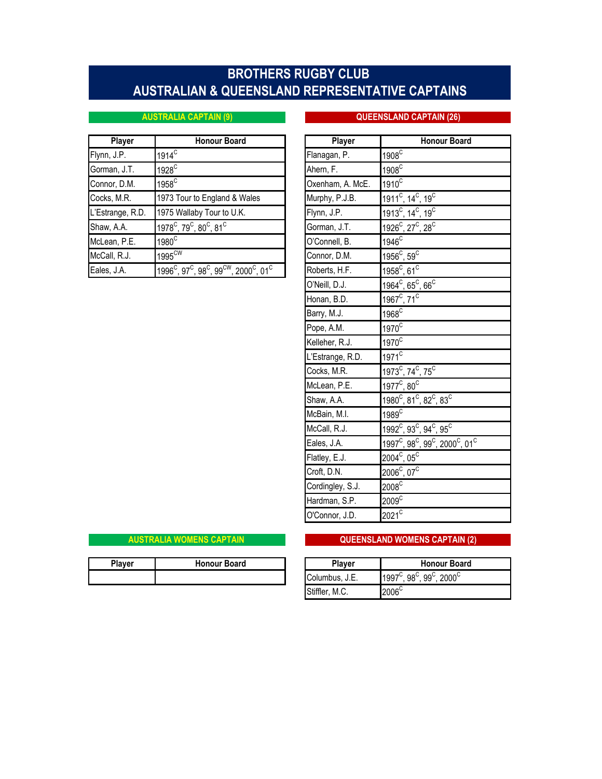# **AUSTRALIAN & QUEENSLAND REPRESENTATIVE CAPTAINS BROTHERS RUGBY CLUB**

### **AUSTRALIA CAPTAIN (9) QUEENSLAND CAPTAIN (26)**

| <b>Player</b>    | <b>Honour Board</b>                                                                              | <b>Player</b>    | <b>Honour Board</b>                                   |
|------------------|--------------------------------------------------------------------------------------------------|------------------|-------------------------------------------------------|
| Flynn, J.P.      | $1914^{\circ}$                                                                                   | Flanagan, P.     | 1908 <sup>C</sup>                                     |
| Gorman, J.T.     | $1928^\circ$                                                                                     | Ahern, F.        | 1908 <sup>C</sup>                                     |
| Connor, D.M.     | 1958 <sup>C</sup>                                                                                | Oxenham, A. McE. | $1910^{\circ}$                                        |
| Cocks, M.R.      | 1973 Tour to England & Wales                                                                     | Murphy, P.J.B.   | $1911^{\circ}$ , 14 <sup>c</sup> , 19 <sup>c</sup>    |
| L'Estrange, R.D. | 1975 Wallaby Tour to U.K.                                                                        | Flynn, J.P.      | $1913^{\circ}$ , 14 <sup>c</sup> , 19 <sup>c</sup>    |
| Shaw, A.A.       | $1978^{\circ}$ , 79 $^{\circ}$ , 80 $^{\circ}$ , 81 $^{\circ}$                                   | Gorman, J.T.     | 1926 <sup>C</sup> , 27 <sup>C</sup> , 28 <sup>C</sup> |
| McLean, P.E.     | $1980^\circ$                                                                                     | O'Connell, B.    | 1946 <sup>C</sup>                                     |
| McCall, R.J.     | 1995 <sup>CW</sup>                                                                               | Connor, D.M.     | $1956^{\circ}$ , 59 $^{\circ}$                        |
| Eales, J.A.      | $1996^{\circ}$ , 97 $^{\circ}$ , 98 $^{\circ}$ , 99 $^{\circ}$ , 2000 $^{\circ}$ , 01 $^{\circ}$ | Roberts, H.F.    | $1958^{\circ}$ , 61 $^{\circ}$                        |

| our Board                                          | Player           | <b>Honour Board</b>                                                                         |
|----------------------------------------------------|------------------|---------------------------------------------------------------------------------------------|
|                                                    | Flanagan, P.     | 1908 <sup>C</sup>                                                                           |
|                                                    | Ahern, F.        | $1908^C$                                                                                    |
|                                                    | Oxenham, A. McE. | $1910^C$                                                                                    |
| gland & Wales                                      | Murphy, P.J.B.   | 1911 <sup>c</sup> , 14 <sup>c</sup> , 19 <sup>c</sup>                                       |
| our to U.K.                                        | Flynn, J.P.      | 1913 <sup>C</sup> , 14 <sup>C</sup> , 19 <sup>C</sup>                                       |
| $,81^{\circ}$                                      | Gorman, J.T.     | $\overline{1926}^{\circ}$ , 27 <sup>c</sup> , 28 <sup>c</sup>                               |
|                                                    | O'Connell, B.    | $1946^{\circ}$                                                                              |
|                                                    | Connor, D.M.     | 1956 $\text{^C}$ , 59 $\text{^C}$                                                           |
| , 99 $^{\rm CW}$ , 2000 $^{\rm C}$ , 01 $^{\rm C}$ | Roberts, H.F.    | $1958^{\circ}$ , 61 $^{\circ}$                                                              |
|                                                    | O'Neill, D.J.    | 1964 $\mathrm{^C}$ , 65 $\mathrm{^C}$ , 66 $\mathrm{^C}$                                    |
|                                                    | Honan, B.D.      | 1967 $^{\circ}$ , 71 $^{\circ}$                                                             |
|                                                    | Barry, M.J.      | $1968^\circ$                                                                                |
|                                                    | Pope, A.M.       | $1970^{\circ}$                                                                              |
|                                                    | Kelleher, R.J.   | $1970^{\circ}$                                                                              |
|                                                    | L'Estrange, R.D. | $1971$ <sup>C</sup>                                                                         |
|                                                    | Cocks, M.R.      | 1973 <sup>C</sup> , 74 <sup>C</sup> , 75 <sup>C</sup>                                       |
|                                                    | McLean, P.E.     | $1977^{\circ}$ , 80 $^{\circ}$                                                              |
|                                                    | Shaw, A.A.       | 1980 <sup>C</sup> , 81 <sup>C</sup> , 82 <sup>C</sup> , 83 <sup>C</sup>                     |
|                                                    | McBain, M.I.     | 1989 <sup>C</sup>                                                                           |
|                                                    | McCall, R.J.     | $1992^{\circ}$ , 93 $^{\circ}$ , 94 $^{\circ}$ , 95 $^{\circ}$                              |
|                                                    | Eales, J.A.      | 1997 <sup>C</sup> , 98 <sup>C</sup> , 99 <sup>C</sup> , 2000 <sup>C</sup> , 01 <sup>C</sup> |
|                                                    | Flatley, E.J.    | $2004^{\circ}$ , 05 $^{\circ}$                                                              |
|                                                    | Croft, D.N.      | $2006^{\circ}$ , 07 $^{\circ}$                                                              |
|                                                    | Cordingley, S.J. | $2008^{\overline{C}}$                                                                       |
|                                                    | Hardman, S.P.    | $2009^\circ$                                                                                |
|                                                    | O'Connor, J.D.   | $2021^C$                                                                                    |

### **QUEENSLAND WOMENS CAPTAIN (2)**

| <b>Plaver</b> | <b>Honour Board</b> | <b>Plaver</b>  | <b>Honour Board</b>                                           |
|---------------|---------------------|----------------|---------------------------------------------------------------|
|               |                     | Columbus. J.E. | $2000^{\circ}$<br>$98^{\circ}$ , $99^{\circ}$<br>$1997^\circ$ |
|               |                     |                |                                                               |

**AUSTRALIA WOMENS CAPTAIN** 

| Player         | <b>Honour Board</b>                                                    |
|----------------|------------------------------------------------------------------------|
| Columbus, J.E. | $1997^{\circ}$ , 98 <sup>c</sup> , 99 <sup>c</sup> , 2000 <sup>c</sup> |
| Stiffler, M.C. | $2006^{\circ}$                                                         |